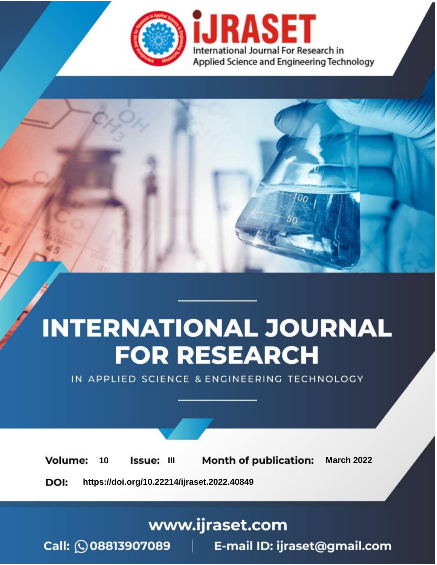

# **INTERNATIONAL JOURNAL FOR RESEARCH**

IN APPLIED SCIENCE & ENGINEERING TECHNOLOGY

10 **Issue: III Month of publication:** March 2022 **Volume:** 

**https://doi.org/10.22214/ijraset.2022.40849**DOI:

www.ijraset.com

Call: 008813907089 | E-mail ID: ijraset@gmail.com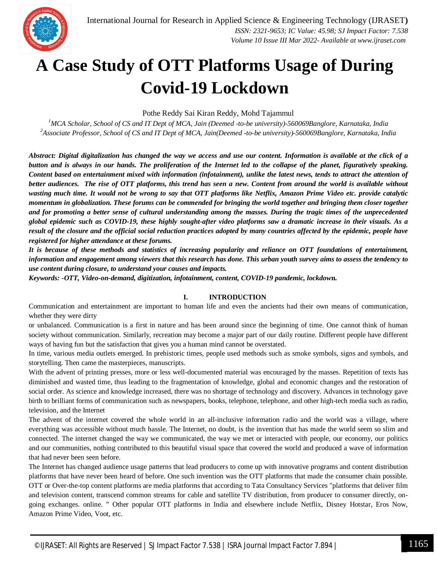

### **A Case Study of OTT Platforms Usage of During Covid-19 Lockdown**

Pothe Reddy Sai Kiran Reddy, Mohd Tajammul

*<sup>1</sup>MCA Scholar, School of CS and IT Dept of MCA, Jain (Deemed -to-be university)-560069Banglore, Karnataka, India <sup>2</sup>Associate Professor, School of CS and IT Dept of MCA, Jain(Deemed -to-be university)-560069Banglore, Karnataka, India*

*Abstract: Digital digitalization has changed the way we access and use our content. Information is available at the click of a button and is always in our hands. The proliferation of the Internet led to the collapse of the planet, figuratively speaking. Content based on entertainment mixed with information (infotainment), unlike the latest news, tends to attract the attention of better audiences. The rise of OTT platforms, this trend has seen a new. Content from around the world is available without wasting much time. It would not be wrong to say that OTT platforms like Netflix, Amazon Prime Video etc. provide catalytic momentum in globalization. These forums can be commended for bringing the world together and bringing them closer together and for promoting a better sense of cultural understanding among the masses. During the tragic times of the unprecedented global epidemic such as COVID-19, these highly sought-after video platforms saw a dramatic increase in their visuals. As a result of the closure and the official social reduction practices adopted by many countries affected by the epidemic, people have registered for higher attendance at these forums.*

*It is because of these methods and statistics of increasing popularity and reliance on OTT foundations of entertainment, information and engagement among viewers that this research has done. This urban youth survey aims to assess the tendency to use content during closure, to understand your causes and impacts.*

*Keywords: -OTT, Video-on-demand, digitization, infotainment, content, COVID-19 pandemic, lockdow***n.**

#### **I. INTRODUCTION**

Communication and entertainment are important to human life and even the ancients had their own means of communication, whether they were dirty

or unbalanced. Communication is a first in nature and has been around since the beginning of time. One cannot think of human society without communication. Similarly, recreation may become a major part of our daily routine. Different people have different ways of having fun but the satisfaction that gives you a human mind cannot be overstated.

In time, various media outlets emerged. In prehistoric times, people used methods such as smoke symbols, signs and symbols, and storytelling. Then came the masterpieces, manuscripts.

With the advent of printing presses, more or less well-documented material was encouraged by the masses. Repetition of texts has diminished and wasted time, thus leading to the fragmentation of knowledge, global and economic changes and the restoration of social order. As science and knowledge increased, there was no shortage of technology and discovery. Advances in technology gave birth to brilliant forms of communication such as newspapers, books, telephone, telephone, and other high-tech media such as radio, television, and the Internet

The advent of the internet covered the whole world in an all-inclusive information radio and the world was a village, where everything was accessible without much hassle. The Internet, no doubt, is the invention that has made the world seem so slim and connected. The internet changed the way we communicated, the way we met or interacted with people, our economy, our politics and our communities, nothing contributed to this beautiful visual space that covered the world and produced a wave of information that had never been seen before.

The Internet has changed audience usage patterns that lead producers to come up with innovative programs and content distribution platforms that have never been heard of before. One such invention was the OTT platforms that made the consumer chain possible. OTT or Over-the-top content platforms are media platforms that according to Tata Consultancy Services "platforms that deliver film and television content, transcend common streams for cable and satellite TV distribution, from producer to consumer directly, ongoing exchanges. online. " Other popular OTT platforms in India and elsewhere include Netflix, Disney Hotstar, Eros Now, Amazon Prime Video, Voot, etc.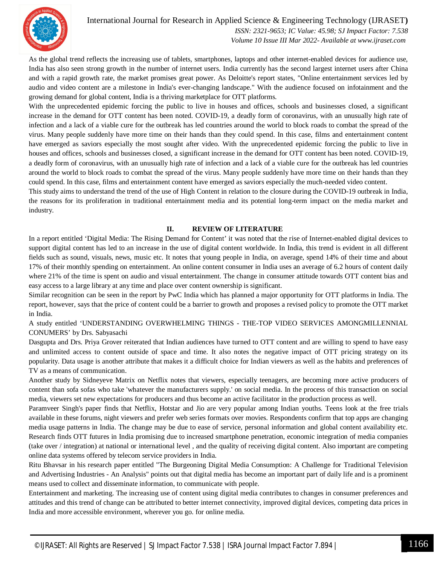

 *Volume 10 Issue III Mar 2022- Available at www.ijraset.com*

As the global trend reflects the increasing use of tablets, smartphones, laptops and other internet-enabled devices for audience use, India has also seen strong growth in the number of internet users. India currently has the second largest internet users after China and with a rapid growth rate, the market promises great power. As Deloitte's report states, "Online entertainment services led by audio and video content are a milestone in India's ever-changing landscape." With the audience focused on infotainment and the growing demand for global content, India is a thriving marketplace for OTT platforms.

With the unprecedented epidemic forcing the public to live in houses and offices, schools and businesses closed, a significant increase in the demand for OTT content has been noted. COVID-19, a deadly form of coronavirus, with an unusually high rate of infection and a lack of a viable cure for the outbreak has led countries around the world to block roads to combat the spread of the virus. Many people suddenly have more time on their hands than they could spend. In this case, films and entertainment content have emerged as saviors especially the most sought after video. With the unprecedented epidemic forcing the public to live in houses and offices, schools and businesses closed, a significant increase in the demand for OTT content has been noted. COVID-19, a deadly form of coronavirus, with an unusually high rate of infection and a lack of a viable cure for the outbreak has led countries around the world to block roads to combat the spread of the virus. Many people suddenly have more time on their hands than they could spend. In this case, films and entertainment content have emerged as saviors especially the much-needed video content.

This study aims to understand the trend of the use of High Content in relation to the closure during the COVID-19 outbreak in India, the reasons for its proliferation in traditional entertainment media and its potential long-term impact on the media market and industry.

#### **II. REVIEW OF LITERATURE**

In a report entitled 'Digital Media: The Rising Demand for Content' it was noted that the rise of Internet-enabled digital devices to support digital content has led to an increase in the use of digital content worldwide. In India, this trend is evident in all different fields such as sound, visuals, news, music etc. It notes that young people in India, on average, spend 14% of their time and about 17% of their monthly spending on entertainment. An online content consumer in India uses an average of 6.2 hours of content daily where 21% of the time is spent on audio and visual entertainment. The change in consumer attitude towards OTT content bias and easy access to a large library at any time and place over content ownership is significant.

Similar recognition can be seen in the report by PwC India which has planned a major opportunity for OTT platforms in India. The report, however, says that the price of content could be a barrier to growth and proposes a revised policy to promote the OTT market in India.

A study entitled 'UNDERSTANDING OVERWHELMING THINGS - THE-TOP VIDEO SERVICES AMONGMILLENNIAL CONUMERS' by Drs. Sabyasachi

Dasgupta and Drs. Priya Grover reiterated that Indian audiences have turned to OTT content and are willing to spend to have easy and unlimited access to content outside of space and time. It also notes the negative impact of OTT pricing strategy on its popularity. Data usage is another attribute that makes it a difficult choice for Indian viewers as well as the habits and preferences of TV as a means of communication.

Another study by Sidneyeve Matrix on Netflix notes that viewers, especially teenagers, are becoming more active producers of content than sofa sofas who take 'whatever the manufacturers supply.' on social media. In the process of this transaction on social media, viewers set new expectations for producers and thus become an active facilitator in the production process as well.

Paramveer Singh's paper finds that Netflix, Hotstar and Jio are very popular among Indian youths. Teens look at the free trials available in these forums, night viewers and prefer web series formats over movies. Respondents confirm that top apps are changing media usage patterns in India. The change may be due to ease of service, personal information and global content availability etc. Research finds OTT futures in India promising due to increased smartphone penetration, economic integration of media companies (take over / integration) at national or international level , and the quality of receiving digital content. Also important are competing online data systems offered by telecom service providers in India.

Ritu Bhavsar in his research paper entitled "The Burgeoning Digital Media Consumption: A Challenge for Traditional Television and Advertising Industries - An Analysis" points out that digital media has become an important part of daily life and is a prominent means used to collect and disseminate information, to communicate with people.

Entertainment and marketing. The increasing use of content using digital media contributes to changes in consumer preferences and attitudes and this trend of change can be attributed to better internet connectivity, improved digital devices, competing data prices in India and more accessible environment, wherever you go. for online media.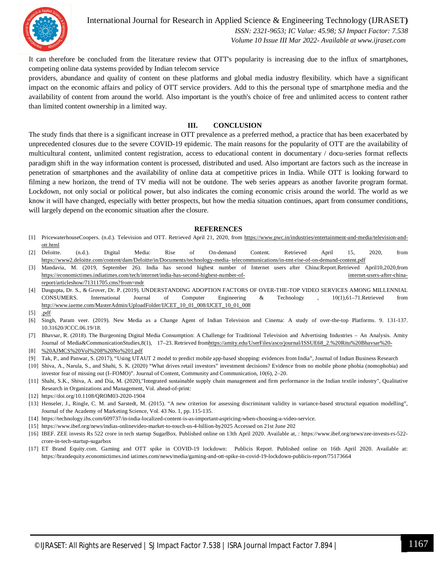

International Journal for Research in Applied Science & Engineering Technology (IJRASET**)**  *ISSN: 2321-9653; IC Value: 45.98; SJ Impact Factor: 7.538*

 *Volume 10 Issue III Mar 2022- Available at www.ijraset.com*

It can therefore be concluded from the literature review that OTT's popularity is increasing due to the influx of smartphones, competing online data systems provided by Indian telecom service

providers, abundance and quality of content on these platforms and global media industry flexibility. which have a significant impact on the economic affairs and policy of OTT service providers. Add to this the personal type of smartphone media and the availability of content from around the world. Also important is the youth's choice of free and unlimited access to content rather than limited content ownership in a limited way.

#### **III. CONCLUSION**

The study finds that there is a significant increase in OTT prevalence as a preferred method, a practice that has been exacerbated by unprecedented closures due to the severe COVID-19 epidemic. The main reasons for the popularity of OTT are the availability of multicultural content, unlimited content registration, access to educational content in documentary / docu-series format reflects paradigm shift in the way information content is processed, distributed and used. Also important are factors such as the increase in penetration of smartphones and the availability of online data at competitive prices in India. While OTT is looking forward to filming a new horizon, the trend of TV media will not be outdone. The web series appears as another favorite program format. Lockdown, not only social or political power, but also indicates the coming economic crisis around the world. The world as we know it will have changed, especially with better prospects, but how the media situation continues, apart from consumer conditions, will largely depend on the economic situation after the closure.

#### **REFERENCES**

- [1] PricewaterhouseCoopers. (n.d.). Television and OTT. Retrieved April 21, 2020, from https://www.pwc.in/industries/entertainment-and-media/television-andott.html
- [2] Deloitte. (n.d.). Digital Media: Rise of On-demand Content. Retrieved April 15, 2020, from https://www2.deloitte.com/content/dam/Deloitte/in/Documents/technology-media- telecommunications/in-tmt-rise-of-on-demand-content.pdf
- [3] Mandavia, M. (2019, September 26). India has second highest number of Internet users after China:Report.Retrieved April10,2020,from https://economictimes.indiatimes.com/tech/internet/india-has-second-highest-number-of- internet-users-after-chinareport/articleshow/71311705.cms?from=mdr
- [4] Dasgupta, Dr. S., & Grover, Dr. P. (2019). UNDERSTANDING ADOPTION FACTORS OF OVER-THE-TOP VIDEO SERVICES AMONG MILLENNIAL CONSUMERS. International Journal of Computer Engineering & Technology , 10(1),61–71.Retrieved from http://www.iaeme.com/MasterAdmin/UploadFolder/IJCET\_10\_01\_008/IJCET\_10\_01\_008
- [5] .pdf
- [6] Singh, Param veer. (2019). New Media as a Change Agent of Indian Television and Cinema: A study of over-the-top Platforms. 9. 131-137. 10.31620/JCCC.06.19/18.
- [7] Bhavsar, R. (2018). The Burgeoning Digital Media Consumption: A Challenge for Traditional Television and Advertising Industries An Analysis. Amity Journal of Media&CommunicationStudies,8(1), 17-23. Retrieved fromhttps://amity.edu/UserFiles/asco/journal/ISSUE68\_2.%20Ritu%20Bhavsar%20-
- [8] %20AJMCS%20Vol%208%20No%201.pdf
- [9] Tak, P., and Panwar, S. (2017), "Using UTAUT 2 model to predict mobile app-based shopping: evidences from India", Journal of Indian Business Research
- [10] Shiva, A., Narula, S., and Shahi, S. K. (2020) "What drives retail investors" investment decisions? Evidence from no mobile phone phobia (nomophobia) and investor fear of missing out (I–FOMO)". Journal of Content, Community and Communication, 10(6), 2–20.
- [11] Shahi, S.K., Shiva, A. and Día, M. (2020),"Integrated sustainable supply chain management and firm performance in the Indian textile industry", Qualitative Research in Organizations and Management, Vol. ahead-of-print:
- [12] https://doi.org/10.1108/QROM03-2020-1904
- [13] Henseler, J., Ringle, C. M. and Sarstedt, M. (2015). "A new criterion for assessing discriminant validity in variance-based structural equation modelling", Journal of the Academy of Marketing Science, Vol. 43 No. 1, pp. 115-135.
- [14] https://technology.ihs.com/609737/in-india-localized-content-is-as-important-aspricing-when-choosing-a-video-service.
- [15] https://www.ibef.org/news/indias-onlinevideo-market-to-touch-us-4-billion-by2025 Accessed on 21st June 202
- [16] IBEF. ZEE invests Rs 522 crore in tech startup SugarBox. Published online on 13th April 2020. Available at, : https://www.ibef.org/news/zee-invests-rs-522 crore-in-tech-startup-sugarbox
- [17] ET Brand Equity.com. Gaming and OTT spike in COVID-19 lockdown: Publicis Report. Published online on 16th April 2020. Available at: https://brandequity.economictimes.ind iatimes.com/news/media/gaming-and-ott-spike-in-covid-19-lockdown-publicis-report/75173664